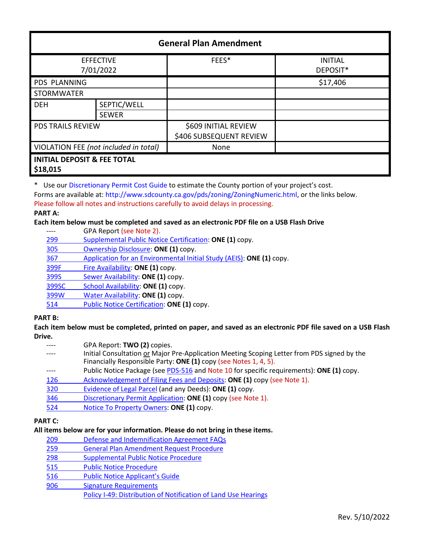| <b>General Plan Amendment</b>                      |              |                         |                            |  |
|----------------------------------------------------|--------------|-------------------------|----------------------------|--|
| <b>EFFECTIVE</b><br>7/01/2022                      |              | FEES*                   | <b>INITIAL</b><br>DEPOSIT* |  |
| <b>PDS PLANNING</b>                                |              |                         | \$17,406                   |  |
| <b>STORMWATER</b>                                  |              |                         |                            |  |
| <b>DEH</b>                                         | SEPTIC/WELL  |                         |                            |  |
|                                                    | <b>SEWER</b> |                         |                            |  |
| <b>PDS TRAILS REVIEW</b>                           |              | \$609 INITIAL REVIEW    |                            |  |
|                                                    |              | \$406 SUBSEQUENT REVIEW |                            |  |
| VIOLATION FEE (not included in total)              |              | None                    |                            |  |
| <b>INITIAL DEPOSIT &amp; FEE TOTAL</b><br>\$18,015 |              |                         |                            |  |

\* Use our [Discretionary Permit Cost Guide](http://www.sandiegocounty.gov/content/dam/sdc/pds/docs/Discretionary_Permit_Cost_Guide.xlsx) to estimate the County portion of your project's cost.

Forms are available at: [http://www.sdcounty.ca.gov/pds/zoning/ZoningNumeric.html,](http://www.sdcounty.ca.gov/pds/zoning/ZoningNumeric.html) or the links below.

Please follow all notes and instructions carefully to avoid delays in processing.

#### **PART A:**

## **Each item below must be completed and saved as an electronic PDF file on a USB Flash Drive**

|       | GPA Report (see Note 2).                                             |
|-------|----------------------------------------------------------------------|
| 299   | Supplemental Public Notice Certification: ONE (1) copy.              |
| 305   | Ownership Disclosure: ONE (1) copy.                                  |
| 367   | Application for an Environmental Initial Study (AEIS): ONE (1) copy. |
| 399F  | Fire Availability: ONE (1) copy.                                     |
| 399S  | Sewer Availability: ONE (1) copy.                                    |
| 399SC | School Availability: ONE (1) copy.                                   |
| 399W  | Water Availability: ONE (1) copy.                                    |
| 514   | Public Notice Certification: ONE (1) copy.                           |
| 7T R. |                                                                      |

**PART B:** 

**Each item below must be completed, printed on paper, and saved as an electronic PDF file saved on a USB Flash Drive.**

- GPA Report: **TWO** (2) copies.
- Initial Consultation or Major Pre-Application Meeting Scoping Letter from PDS signed by the Financially Responsible Party: **ONE (1)** copy (see Notes 1, 4, 5).
- Public Notice Package (se[e PDS-516 a](http://www.sdcounty.ca.gov/pds/zoning/formfields/PDS-PLN-516.pdf)nd Note 10 for specific requirements): ONE (1) copy.
- [126 Acknowledgement of Filing Fees and Deposits:](http://www.sdcounty.ca.gov/pds/zoning/formfields/PDS-PLN-126.pdf) **ONE (1)** copy (see Note 1).
- [320 Evidence of Legal Parcel](http://www.sdcounty.ca.gov/pds/zoning/formfields/PDS-PLN-320.pdf) (and any Deeds): **ONE (1)** copy.
- 346 [Discretionary Permit Application:](http://www.sdcounty.ca.gov/pds/zoning/formfields/PDS-PLN-346.pdf) **ONE (1)** copy (see Note 1).
- 524 [Notice To Property Owners:](http://www.sdcounty.ca.gov/pds/zoning/formfields/PDS-PLN-524.pdf) **ONE (1)** copy.

# **PART C:**

# **All items below are for your information. Please do not bring in these items.**

- 209 [Defense and Indemnification Agreement FAQs](http://www.sdcounty.ca.gov/pds/zoning/formfields/PDS-PLN-209.pdf)
- 259 [General Plan Amendment Request Procedure](http://www.sdcounty.ca.gov/pds/zoning/formfields/PDS-PLN-259.pdf)
- [298 Supplemental Public Notice Procedure](http://www.sdcounty.ca.gov/pds/zoning/formfields/PDS-PLN-298.pdf)
- [515 Public Notice Procedure](http://www.sdcounty.ca.gov/pds/zoning/formfields/PDS-PLN-515.pdf)
- 516 Public [Notice Applicant's Guide](http://www.sdcounty.ca.gov/pds/zoning/formfields/PDS-PLN-516.pdf)
- [906 Signature Requirements](http://www.sdcounty.ca.gov/pds/zoning/formfields/PDS-PLN-906.pdf)

[Policy I-49: Distribution of Notification of Land Use Hearings](http://www.sdcounty.ca.gov/cob/docs/policy/I-49.pdf)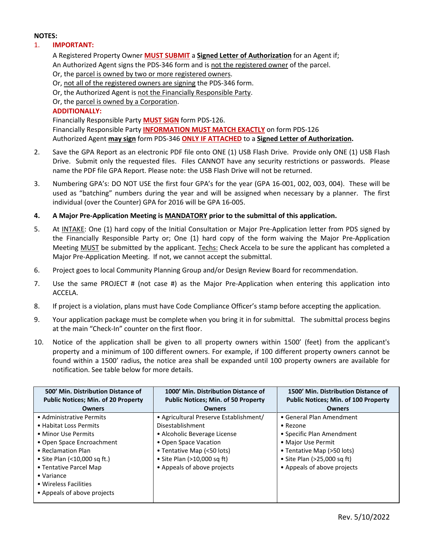### **NOTES:**

## 1. **IMPORTANT:**

A Registered Property Owner **MUST SUBMIT** a **Signed Letter of Authorization** for an Agent if; An Authorized Agent signs the PDS-346 form and is not the registered owner of the parcel. Or, the parcel is owned by two or more registered owners. Or, not all of the registered owners are signing the PDS-346 form. Or, the Authorized Agent is not the Financially Responsible Party. Or, the parcel is owned by a Corporation.

### **ADDITIONALLY:**

Financially Responsible Party **MUST SIGN** form PDS-126. Financially Responsible Party **INFORMATION MUST MATCH EXACTLY** on form PDS-126 Authorized Agent **may sign** form PDS-346 **ONLY IF ATTACHED** to a **Signed Letter of Authorization.** 

- 2. Save the GPA Report as an electronic PDF file onto ONE (1) USB Flash Drive. Provide only ONE (1) USB Flash Drive. Submit only the requested files. Files CANNOT have any security restrictions or passwords. Please name the PDF file GPA Report. Please note: the USB Flash Drive will not be returned.
- 3. Numbering GPA's: DO NOT USE the first four GPA's for the year (GPA 16-001, 002, 003, 004). These will be used as "batching" numbers during the year and will be assigned when necessary by a planner. The first individual (over the Counter) GPA for 2016 will be GPA 16-005.
- **4. A Major Pre-Application Meeting is MANDATORY prior to the submittal of this application.**
- 5. At INTAKE: One (1) hard copy of the Initial Consultation or Major Pre-Application letter from PDS signed by the Financially Responsible Party or; One (1) hard copy of the form waiving the Major Pre-Application Meeting MUST be submitted by the applicant. Techs: Check Accela to be sure the applicant has completed a Major Pre-Application Meeting. If not, we cannot accept the submittal.
- 6. Project goes to local Community Planning Group and/or Design Review Board for recommendation.
- 7. Use the same PROJECT # (not case #) as the Major Pre-Application when entering this application into ACCELA.
- 8. If project is a violation, plans must have Code Compliance Officer's stamp before accepting the application.
- 9. Your application package must be complete when you bring it in for submittal. The submittal process begins at the main "Check-In" counter on the first floor.
- 10. Notice of the application shall be given to all property owners within 1500' (feet) from the applicant's property and a minimum of 100 different owners. For example, if 100 different property owners cannot be found within a 1500' radius, the notice area shall be expanded until 100 property owners are available for notification. See table below for more details.

| 500' Min. Distribution Distance of<br><b>Public Notices; Min. of 20 Property</b> | 1000' Min. Distribution Distance of<br><b>Public Notices; Min. of 50 Property</b> | 1500' Min. Distribution Distance of<br><b>Public Notices; Min. of 100 Property</b> |
|----------------------------------------------------------------------------------|-----------------------------------------------------------------------------------|------------------------------------------------------------------------------------|
| <b>Owners</b>                                                                    | <b>Owners</b>                                                                     | <b>Owners</b>                                                                      |
| • Administrative Permits                                                         | • Agricultural Preserve Establishment/                                            | • General Plan Amendment                                                           |
| • Habitat Loss Permits                                                           | Disestablishment                                                                  | • Rezone                                                                           |
| • Minor Use Permits                                                              | • Alcoholic Beverage License                                                      | • Specific Plan Amendment                                                          |
| • Open Space Encroachment                                                        | • Open Space Vacation                                                             | • Major Use Permit                                                                 |
| • Reclamation Plan                                                               | • Tentative Map (<50 lots)                                                        | • Tentative Map (>50 lots)                                                         |
| • Site Plan $($ < 10,000 sq ft.)                                                 | • Site Plan (>10,000 sq ft)                                                       | • Site Plan $(>25,000$ sq ft)                                                      |
| • Tentative Parcel Map                                                           | • Appeals of above projects                                                       | • Appeals of above projects                                                        |
| $\bullet$ Variance                                                               |                                                                                   |                                                                                    |
| • Wireless Facilities                                                            |                                                                                   |                                                                                    |
| • Appeals of above projects                                                      |                                                                                   |                                                                                    |